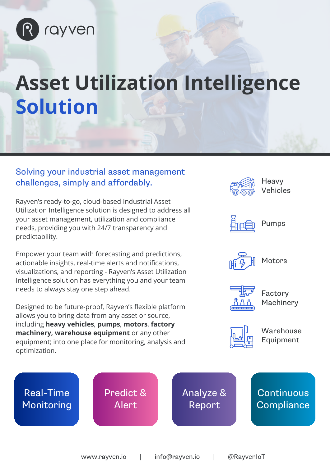

# **Asset Utilization Intelligence Solution**

#### Solving your industrial asset management challenges, simply and affordably.

Rayven's ready-to-go, cloud-based Industrial Asset Utilization Intelligence solution is designed to address all your asset management, utilization and compliance needs, providing you with 24/7 transparency and predictability.

Empower your team with forecasting and predictions, actionable insights, real-time alerts and notifications, visualizations, and reporting - Rayven's Asset Utilization Intelligence solution has everything you and your team needs to always stay one step ahead.

Designed to be future-proof, Rayven's flexible platform allows you to bring data from any asset or source, including **heavy vehicles**, **pumps**, **motors**, **factory machinery, warehouse equipment** or any other equipment; into one place for monitoring, analysis and optimization.

Predict &

Alert

Real-Time

Monitoring

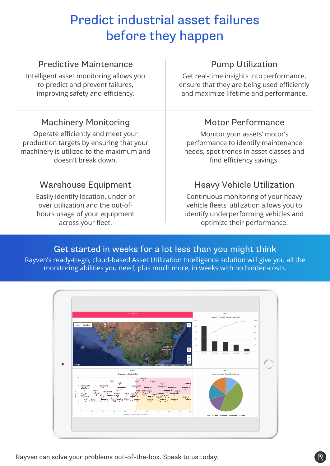## Predict industrial asset failures before they happen

| <b>Predictive Maintenance</b>            | <b>Pump Utilization</b>                     |
|------------------------------------------|---------------------------------------------|
| Intelligent asset monitoring allows you  | Get real-time insights into performance,    |
| to predict and prevent failures,         | ensure that they are being used efficiently |
| improving safety and efficiency.         | and maximize lifetime and performance.      |
| <b>Machinery Monitoring</b>              | <b>Motor Performance</b>                    |
| Operate efficiently and meet your        | Monitor your assets' motor's                |
| production targets by ensuring that your | performance to identify maintenance         |
| machinery is utilized to the maximum and | needs, spot trends in asset classes and     |
| doesn't break down.                      | find efficiency savings.                    |
| <b>Warehouse Equipment</b>               | <b>Heavy Vehicle Utilization</b>            |
| Easily identify location, under or       | Continuous monitoring of your heavy         |
| over utilization and the out-of-         | vehicle fleets' utilization allows you to   |
| hours usage of your equipment            | identify underperforming vehicles and       |
| across your fleet.                       | optimize their performance.                 |

#### Get started in weeks for a lot less than you might think

Rayven's ready-to-go, cloud-based Asset Utilization Intelligence solution will give you all the monitoring abilities you need, plus much more, in weeks with no hidden-costs.



Rayven can solve your problems out-of-the-box. Speak to us today.